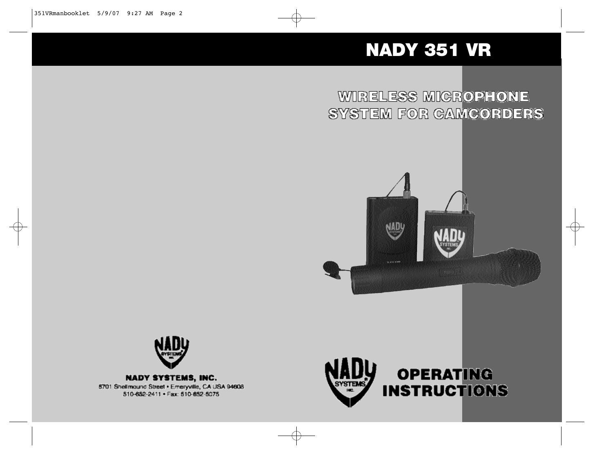# NADY 351 VR

WIRELESS MICROPHONE SYSTEM FOR GAMCORDERS





**NADY SYSTEMS, INC.** 6701 Shellmound Street . Emeryville, CA USA 94608 510-652-2411 . Fax: 510-652-5075

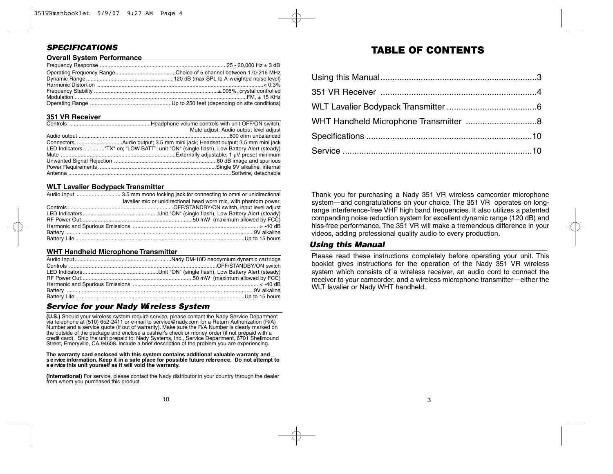# *S P E C I F I C AT I O N S*

#### **Overall System Performance**

#### **351 VR Receiver**

| Mute adjust, Audio output level adjust                                                   |
|------------------------------------------------------------------------------------------|
|                                                                                          |
|                                                                                          |
| LED Indicators "TX" on; "LOW BATT": unit "ON" (single flash), Low Battery Alert (steady) |
|                                                                                          |
|                                                                                          |
|                                                                                          |
|                                                                                          |

#### **WLT Lavalier Bodypack Transmitter**

| lavalier mic or unidirectional head worn mic, with phantom power. |
|-------------------------------------------------------------------|
|                                                                   |
|                                                                   |
|                                                                   |
|                                                                   |
|                                                                   |
|                                                                   |

#### **WHT Handheld Microphone Transmitter**

# *S e rvice for your Nady Wi reless System*

**(U.S.)** Should your wireless system require service, please contact the Nady Service Department via telephone at (510) 652-2411 or e-mail to service @ nad y.com for a Return Authorization (R/A) Number and a service quote (if out of warranty). Make sure the R/A Number is clearly marked on<br>the outside of the package and enclose a cashier's check or money order (if not prepaid with a credit card). Ship the unit prepaid to: Nady Systems, Inc., Service Department, 6701 Shellmound Street, Emery ville, CA 94608. Include a brief description of the problem you are experiencing.

# The warranty card enclosed with this system contains additional valuable warranty and<br>service information. Keep it in a safe place for possible future reference. Do not attempt to **s e rvice this unit yo u rself as it will void the warranty.**

**(International)** For service, please contact the Nady distributor in your country through the dealer from whom you purchased this product.

# TABLE OF CONTENTS

Thank you for purchasing a Nady 351 VR wireless camcorder microphone system—and congratulations on your choice. The 351 VR operates on longrange interference-free VHF high band frequencies. It also utilizes a patented companding noise reduction system for excellent dynamic range (120 dB) and hiss-free performance. The 351 VR will make a tremendous difference in your videos, adding professional quality audio to every production.

# *Using this Manual*

Please read these instructions completely before operating your unit. This booklet gives instructions for the operation of the Nady 351 VR wireless system which consists of a wireless receiver, an audio cord to connect the receiver to your camcorder, and a wireless microphone transmitter-either the WLT lavalier or Nady WHT handheld.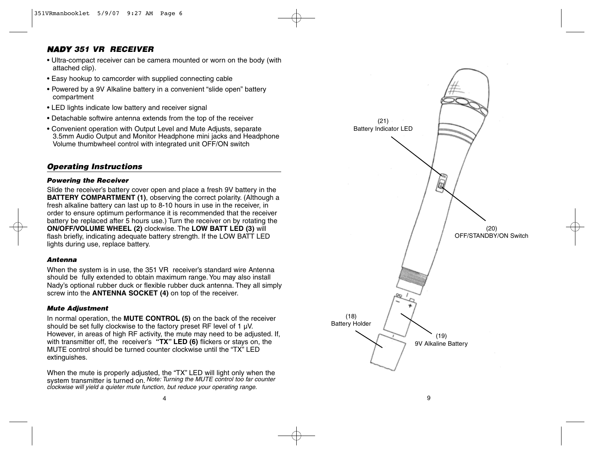# *NADY 351 VR RECEIVER*

- Ultra-compact receiver can be camera mounted or worn on the body (with attached clip).
- Easy hookup to camcorder with supplied connecting cable
- Powered by a 9V Alkaline battery in a convenient "slide open" battery compartment
- LED lights indicate low battery and receiver signal
- Detachable softwire antenna extends from the top of the receiver
- Convenient operation with Output Level and Mute Adjusts, separate 3.5mm Audio Output and Monitor Headphone mini jacks and Headphone Volume thumbwheel control with integrated unit OFF/ON switch

# *Operating Instructions*

#### *Powering the Receiver*

Slide the receiver's battery cover open and place a fresh 9V battery in the **BATTERY COMPARTMENT (1)**, observing the correct polarity. (Although a fresh alkaline battery can last up to 8-10 hours in use in the receiver, in order to ensure optimum performance it is recommended that the receiver battery be replaced after 5 hours use.) Turn the receiver on by rotating the **ON/OFF/VOLUME WHEEL (2)** clockwise. The **LOW BATT LED (3)** will flash briefly, indicating adequate battery strength. If the LOW BATT LED lights during use, replace battery.

#### *Antenna*

When the system is in use, the 351 VR receiver's standard wire Antenna should be fully extended to obtain maximum range.You may also install Nady's optional rubber duck or flexible rubber duck antenna. They all simply screw into the **ANTENNA SOCKET (4)** on top of the receiver.

#### *Mute Adjustment*

In normal operation, the **MUTE CONTROL (5)** on the back of the receiver should be set fully clockwise to the factory preset RF level of 1  $\mu$ V. However, in areas of high RF activity, the mute may need to be adjusted. If, with transmitter off, the receiver's **"TX" LED (6)** flickers or stays on, the MUTE control should be turned counter clockwise until the "TX" LED extinguishes.

When the mute is properly adjusted, the "TX" LED will light only when the system transmitter is turned on. *Note: Turning the MUTE control too far counter clockwise will yield a quieter mute function, but reduce your operating range.*

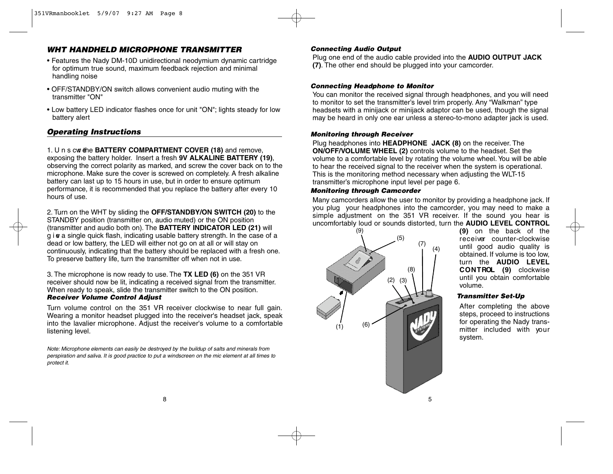# *WHT HANDHELD MICROPHONE TRANSMITTER*

- Features the Nady DM-10D unidirectional neodymium dynamic cartridge for optimum true sound, maximum feedback rejection and minimal handling noise
- OFF/STANDBY/ON switch allows convenient audio muting with the transmitter "ON"
- Low battery LED indicator flashes once for unit "ON"; lights steady for low battery alert

# **Operating Instructions**

1. U n s cw the **BATTERY COMPARTMENT COVER** (18) and remove, exposing the battery holder. Insert a fresh 9V ALKALINE BATTERY (19), observing the correct polarity as marked, and screw the cover back on to the microphone. Make sure the cover is screwed on completely. A fresh alkaline battery can last up to 15 hours in use, but in order to ensure optimum performance, it is recommended that you replace the battery after every 10 hours of use.

2. Turn on the WHT by sliding the **OFF/STANDBY/ON SWITCH (20)** to the S TANDBY position (transmitter on, audio muted) or the ON position (transmitter and audio both on). The **BATTERY INDICATOR LED (21)** will  $q$  i  $q$  a single quick flash, indicating usable battery strength. In the case of a dead or low battery, the LED will either not go on at all or will stay on continuously, indicating that the battery should be replaced with a fresh one. To preserve battery life, turn the transmitter off when not in use.

3 . The microphone is now ready to use. The **TX LED (6)** on the 351 V R receiver should now be lit, indicating a received signal from the transmitter. When ready to speak, slide the transmitter switch to the ON position. *Receiver Volume Control Adjust*

Turn volume control on the 351 VR receiver clockwise to near full gain. Wearing a monitor headset plugged into the receiver's headset jack, speak into the lavalier microphone. Adjust the receiver's volume to a comfortable listening level.

*Note: Microphone elements can easily be destroyed by the buildup of salts and minerals from p e r s p i ration and saliva . It is good practice to put a windscreen on the mic element at all times to protect it.*

#### *Connecting Audio Output*

Plug one end of the audio cable provided into the **AUDIO OUTPUT JACK (7)**. The other end should be plugged into your camcorder.

#### *Connecting Headphone to Monitor*

You can monitor the received signal through headphones, and you will need to monitor to set the transmitter's level trim properly. Any "Walkman" type headsets with a minijack or minijack adaptor can be used, though the signal may be heard in only one ear unless a stereo-to-mono adapter jack is used.

#### *Monitoring through Receiver*

Plug headphones into **HEADPHONE JACK (8)** on the receiver. The **ON/OFF/VOLUME WHEEL (2)** controls volume to the headset. Set the volume to a comfortable level by rotating the volume wheel. You will be able to hear the received signal to the receiver when the system is operational. This is the monitoring method necessary when adjusting the WLT-15 transmitter's microphone input level per page 6.

#### *Monitoring through Camcorder*

Many camcorders allow the user to monitor by providing a headphone jack. If you plug your headphones into the camcorder, you may need to make a simple adjustment on the 351 VR receiver. If the sound you hear is uncomfortably loud or sounds distorted, turn the **AUDIO LEVEL CONTROL**



**( 9 )** on the back of the receiver counter-clockwise until good audio quality is obtained. If volume is too low, turn the **AUDIO** LEVEL **CONTROL** (9) clockwise until you obtain comfortable volume.

#### *Transmitter Set-Up*

After completing the above steps, proceed to instructions for operating the Nady transmitter included with your system.